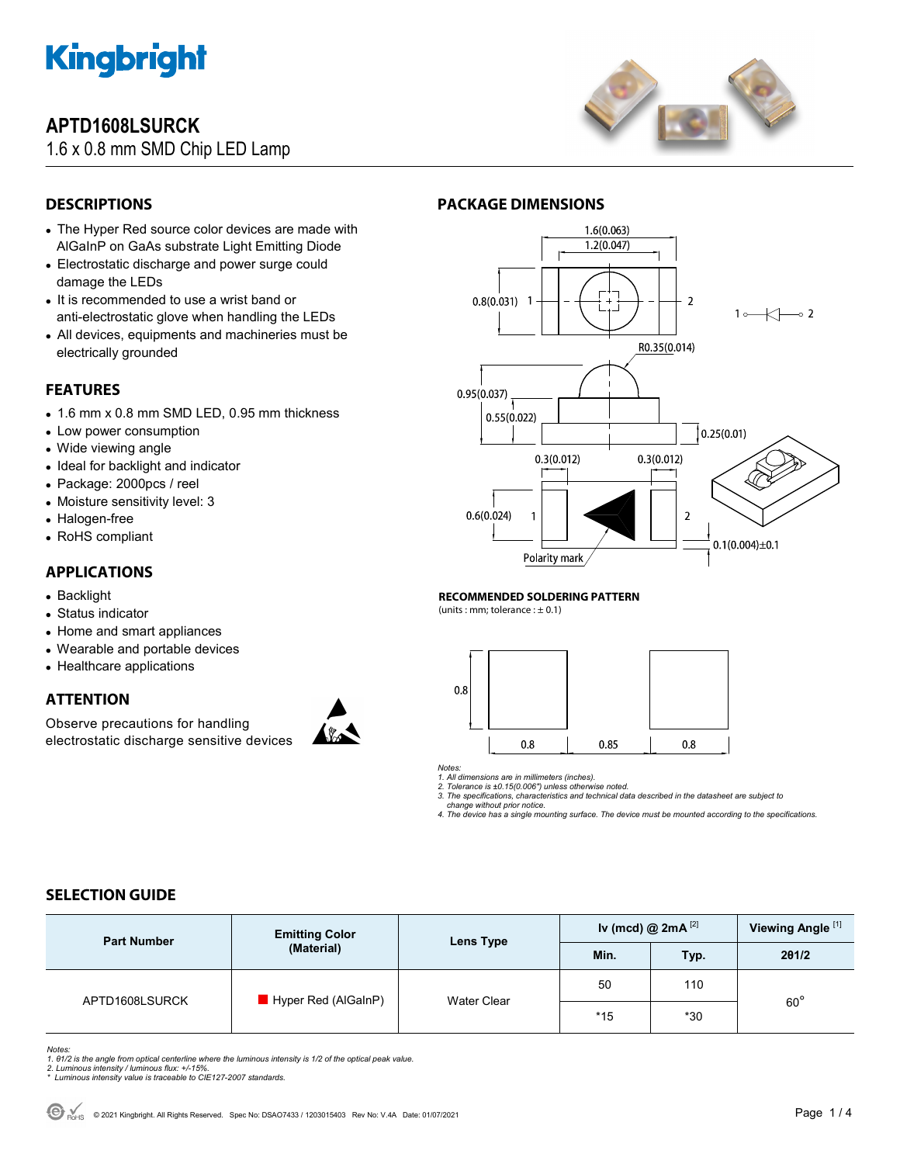

## **APTD1608LSURCK**

1.6 x 0.8 mm SMD Chip LED Lamp



## **DESCRIPTIONS**

- The Hyper Red source color devices are made with AlGaInP on GaAs substrate Light Emitting Diode
- Electrostatic discharge and power surge could damage the LEDs
- It is recommended to use a wrist band or anti-electrostatic glove when handling the LEDs
- All devices, equipments and machineries must be electrically grounded

### **FEATURES**

- 1.6 mm x 0.8 mm SMD LED, 0.95 mm thickness
- Low power consumption
- Wide viewing angle
- Ideal for backlight and indicator
- Package: 2000pcs / reel
- Moisture sensitivity level: 3
- Halogen-free
- RoHS compliant

### **APPLICATIONS**

- Backlight
- Status indicator
- Home and smart appliances
- Wearable and portable devices
- Healthcare applications

### **ATTENTION**

Observe precautions for handling electrostatic discharge sensitive devices





#### **RECOMMENDED SOLDERING PATTERN**

(units : mm; tolerance :  $\pm$  0.1)



*Notes:* 

*1. All dimensions are in millimeters (inches). 2. Tolerance is ±0.15(0.006") unless otherwise noted.* 

*3. The specifications, characteristics and technical data described in the datasheet are subject to change without prior notice.* 

*4. The device has a single mounting surface. The device must be mounted according to the specifications.* 

### **SELECTION GUIDE**

| <b>Part Number</b> | <b>Emitting Color</b><br>(Material) | Lens Type   | Iv (mcd) @ $2mA^{[2]}$ |       | Viewing Angle <sup>[1]</sup> |  |
|--------------------|-------------------------------------|-------------|------------------------|-------|------------------------------|--|
|                    |                                     |             | Min.                   | Typ.  | 201/2                        |  |
| APTD1608LSURCK     | $\blacksquare$ Hyper Red (AlGaInP)  | Water Clear | 50                     | 110   | $60^{\circ}$                 |  |
|                    |                                     |             | $*15$                  | $*30$ |                              |  |

Notes:<br>1. 61/2 is the angle from optical centerline where the luminous intensity is 1/2 of the optical peak value.<br>2. Luminous intensity / luminous flux: +/-15%.<br>\* Luminous intensity value is traceable to CIE127-2007 stand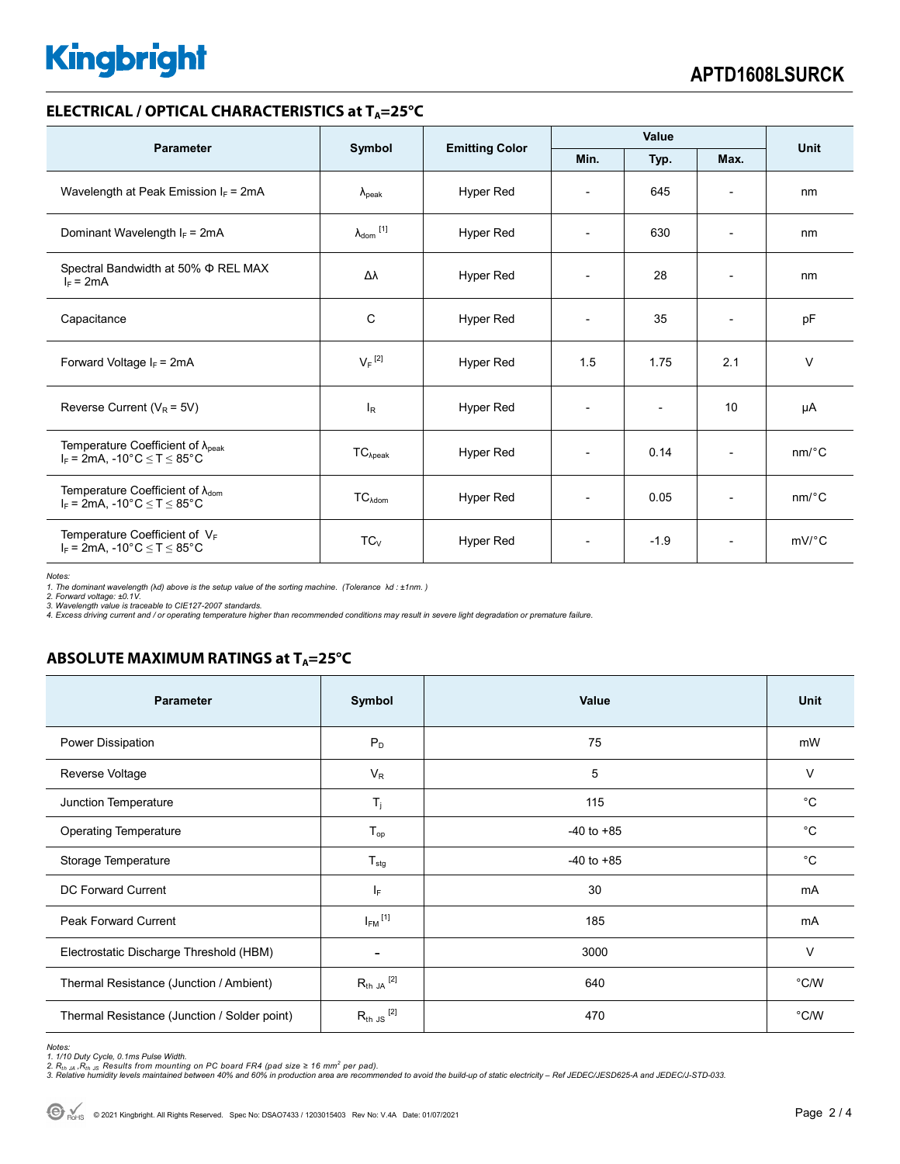# **Kingbright**

### **ELECTRICAL / OPTICAL CHARACTERISTICS at T<sub>A</sub>=25°C**

| <b>Parameter</b>                                                                           | Symbol                     | <b>Emitting Color</b> | Value                    |                          |                          | <b>Unit</b>           |
|--------------------------------------------------------------------------------------------|----------------------------|-----------------------|--------------------------|--------------------------|--------------------------|-----------------------|
|                                                                                            |                            |                       | Min.                     | Typ.                     | Max.                     |                       |
| Wavelength at Peak Emission $I_F$ = 2mA                                                    | $\lambda_{\rm peak}$       | Hyper Red             | $\overline{\phantom{a}}$ | 645                      | $\overline{\phantom{a}}$ | nm                    |
| Dominant Wavelength $I_F = 2mA$                                                            | $\lambda_{\text{dom}}$ [1] | <b>Hyper Red</b>      | $\overline{\phantom{a}}$ | 630                      | $\overline{\phantom{a}}$ | nm                    |
| Spectral Bandwidth at 50% $\Phi$ REL MAX<br>$I_F = 2mA$                                    | Δλ                         | <b>Hyper Red</b>      | $\overline{\phantom{a}}$ | 28                       | $\overline{\phantom{a}}$ | nm                    |
| Capacitance                                                                                | C                          | <b>Hyper Red</b>      | $\overline{\phantom{a}}$ | 35                       | $\overline{\phantom{a}}$ | pF                    |
| Forward Voltage $I_F$ = 2mA                                                                | $V_F$ <sup>[2]</sup>       | <b>Hyper Red</b>      | 1.5                      | 1.75                     | 2.1                      | $\vee$                |
| Reverse Current ( $V_R$ = 5V)                                                              | $I_R$                      | <b>Hyper Red</b>      | $\overline{\phantom{a}}$ | $\overline{\phantom{a}}$ | 10                       | μA                    |
| Temperature Coefficient of $\lambda_{peak}$<br>$I_F$ = 2mA, -10°C $\leq T \leq 85$ °C      | $TC_{\lambda peak}$        | <b>Hyper Red</b>      | $\overline{\phantom{a}}$ | 0.14                     | $\overline{\phantom{a}}$ | $nm$ /°C              |
| Temperature Coefficient of $\lambda_{\text{dom}}$<br>$I_F = 2mA$ , -10°C $\le T \le 85$ °C | $TC_{\lambda dom}$         | <b>Hyper Red</b>      | $\overline{\phantom{a}}$ | 0.05                     | $\overline{\phantom{a}}$ | $nm$ <sup>o</sup> $C$ |
| Temperature Coefficient of VF<br>$I_F$ = 2mA, -10°C $\leq$ T $\leq$ 85°C                   | $TC_{V}$                   | <b>Hyper Red</b>      | $\overline{\phantom{a}}$ | $-1.9$                   | $\overline{\phantom{a}}$ | $mV$ °C               |

*Notes:* 

1. The dominant wavelength (λd) above is the setup value of the sorting machine. (Tolerance λd : ±1nm. )<br>2. Forward voltage: ±0.1V.<br>3. Wavelength value is traceable to CIE127-2007 standards.

*4. Excess driving current and / or operating temperature higher than recommended conditions may result in severe light degradation or premature failure.* 

## **ABSOLUTE MAXIMUM RATINGS at T<sub>A</sub>=25°C**

| <b>Parameter</b>                             | Symbol                  | Value          | <b>Unit</b> |
|----------------------------------------------|-------------------------|----------------|-------------|
| Power Dissipation                            | $P_D$                   | 75             | mW          |
| Reverse Voltage                              | $V_R$                   | 5              | $\vee$      |
| Junction Temperature                         | $T_j$                   | 115            | $^{\circ}C$ |
| <b>Operating Temperature</b>                 | $T_{op}$                | $-40$ to $+85$ | $^{\circ}C$ |
| Storage Temperature                          | $T_{\text{stg}}$        | $-40$ to $+85$ | $^{\circ}C$ |
| <b>DC Forward Current</b>                    | $I_F$                   | 30             | mA          |
| <b>Peak Forward Current</b>                  | $I_{FM}$ <sup>[1]</sup> | 185            | mA          |
| Electrostatic Discharge Threshold (HBM)      | ۰                       | 3000           | $\vee$      |
| Thermal Resistance (Junction / Ambient)      | $R_{th}$ JA $^{[2]}$    | 640            | °C/W        |
| Thermal Resistance (Junction / Solder point) | $R_{th}$ JS $^{[2]}$    | 470            | °C/W        |

*Notes:* 

1. 1/10 Duty Cycle, 0.1ms Pulse Width.<br>2. R<sub>th Ja</sub> ,R<sub>h JS</sub> Results from mounting on PC board FR4 (pad size ≥ 16 mm<sup>2</sup> per pad).<br>3. Relative humidity levels maintained between 40% and 60% in production area are recommende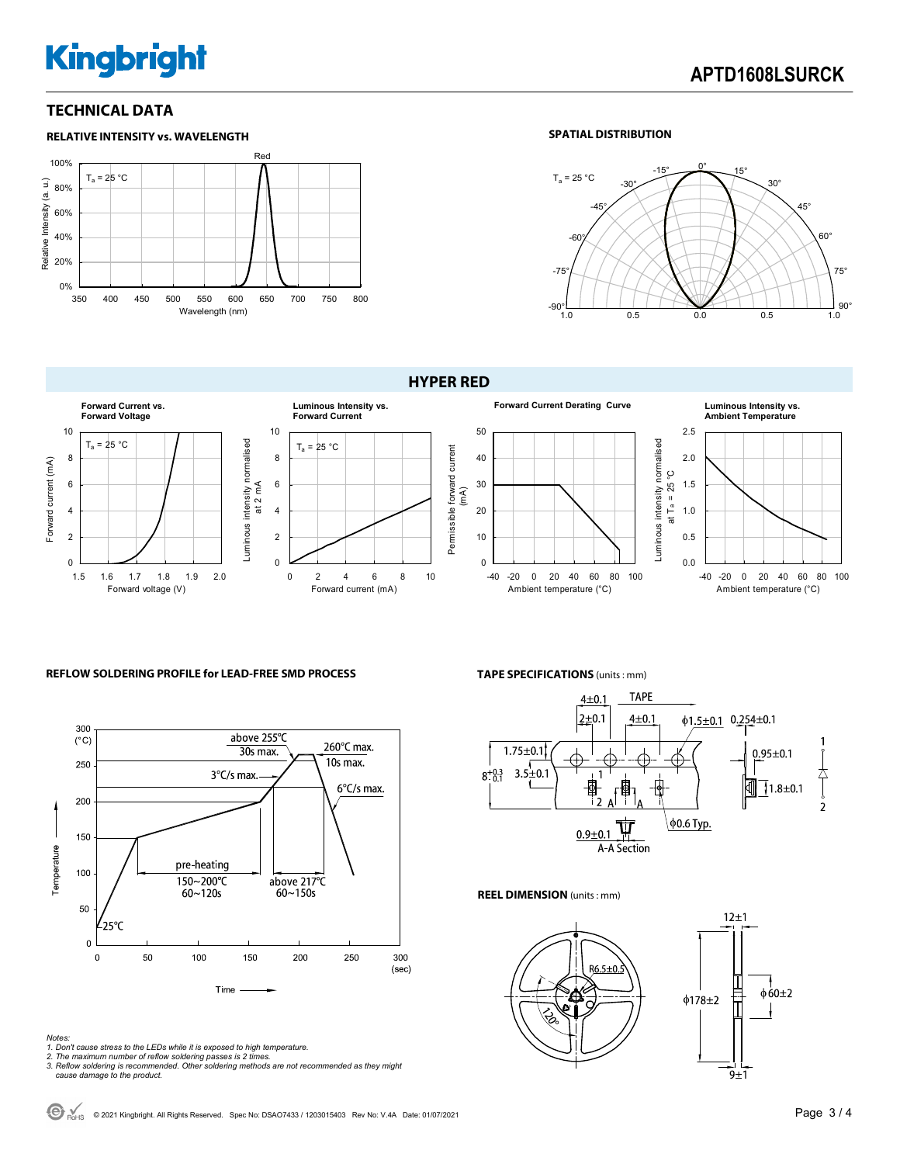# **Kingbright**

### **TECHNICAL DATA**



### **SPATIAL DISTRIBUTION**



**HYPER RED** 



### **REFLOW SOLDERING PROFILE for LEAD-FREE SMD PROCESS**



*Notes:* 

- *1. Don't cause stress to the LEDs while it is exposed to high temperature. 2. The maximum number of reflow soldering passes is 2 times.*
- 
- *3. Reflow soldering is recommended. Other soldering methods are not recommended as they might cause damage to the product.*

**TAPE SPECIFICATIONS** (units : mm)



#### **REEL DIMENSION** (units : mm)